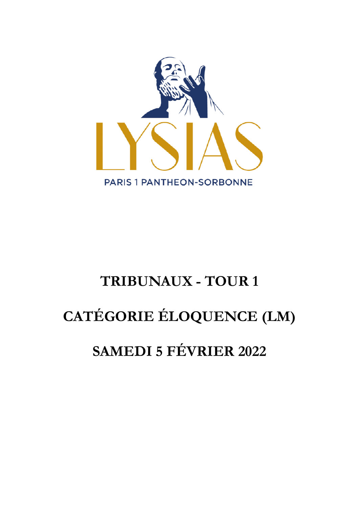

# **TRIBUNAUX - TOUR 1 CATÉGORIE ÉLOQUENCE (LM) SAMEDI 5 FÉVRIER 2022**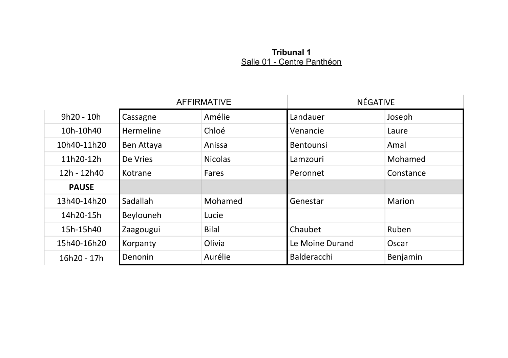#### **Tribunal 1** Salle 01 - Centre Panthéon

|              | <b>AFFIRMATIVE</b> |                | NÉGATIVE         |           |
|--------------|--------------------|----------------|------------------|-----------|
| $9h20 - 10h$ | Cassagne           | Amélie         | Landauer         | Joseph    |
| 10h-10h40    | Hermeline          | Chloé          | Venancie         | Laure     |
| 10h40-11h20  | Ben Attaya         | Anissa         | <b>Bentounsi</b> | Amal      |
| 11h20-12h    | De Vries           | <b>Nicolas</b> | Lamzouri         | Mohamed   |
| 12h - 12h40  | Kotrane            | Fares          | Peronnet         | Constance |
| <b>PAUSE</b> |                    |                |                  |           |
| 13h40-14h20  | Sadallah           | Mohamed        | Genestar         | Marion    |
| 14h20-15h    | Beylouneh          | Lucie          |                  |           |
| 15h-15h40    | Zaagougui          | Bilal          | Chaubet          | Ruben     |
| 15h40-16h20  | Korpanty           | Olivia         | Le Moine Durand  | Oscar     |
| 16h20 - 17h  | Denonin            | Aurélie        | Balderacchi      | Benjamin  |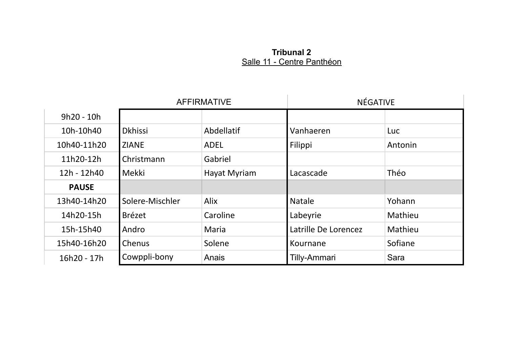## **Tribunal 2** Salle 11 - Centre Panthéon

|              | <b>AFFIRMATIVE</b> |              | NÉGATIVE             |         |
|--------------|--------------------|--------------|----------------------|---------|
| 9h20 - 10h   |                    |              |                      |         |
| 10h-10h40    | <b>Dkhissi</b>     | Abdellatif   | Vanhaeren            | Luc     |
| 10h40-11h20  | <b>ZIANE</b>       | ADEL         | Filippi              | Antonin |
| 11h20-12h    | Christmann         | Gabriel      |                      |         |
| 12h - 12h40  | Mekki              | Hayat Myriam | Lacascade            | Théo    |
| <b>PAUSE</b> |                    |              |                      |         |
| 13h40-14h20  | Solere-Mischler    | Alix         | <b>Natale</b>        | Yohann  |
| 14h20-15h    | Brézet             | Caroline     | Labeyrie             | Mathieu |
| 15h-15h40    | Andro              | Maria        | Latrille De Lorencez | Mathieu |
| 15h40-16h20  | Chenus             | Solene       | Kournane             | Sofiane |
| 16h20 - 17h  | Cowppli-bony       | Anais        | Tilly-Ammari         | Sara    |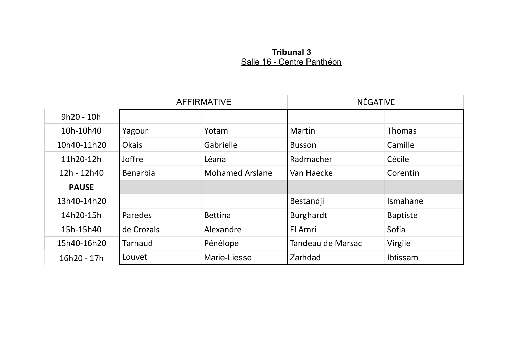## **Tribunal 3** Salle 16 - Centre Panthéon

|              | <b>AFFIRMATIVE</b> |                        | NÉGATIVE          |               |
|--------------|--------------------|------------------------|-------------------|---------------|
| 9h20 - 10h   |                    |                        |                   |               |
| 10h-10h40    | Yagour             | Yotam                  | Martin            | <b>Thomas</b> |
| 10h40-11h20  | Okais              | Gabrielle              | <b>Busson</b>     | Camille       |
| 11h20-12h    | Joffre             | Léana                  | Radmacher         | Cécile        |
| 12h - 12h40  | Benarbia           | <b>Mohamed Arslane</b> | Van Haecke        | Corentin      |
| <b>PAUSE</b> |                    |                        |                   |               |
| 13h40-14h20  |                    |                        | Bestandji         | Ismahane      |
| 14h20-15h    | Paredes            | <b>Bettina</b>         | Burghardt         | Baptiste      |
| 15h-15h40    | de Crozals         | Alexandre              | El Amri           | Sofia         |
| 15h40-16h20  | Tarnaud            | Pénélope               | Tandeau de Marsac | Virgile       |
| 16h20 - 17h  | Louvet             | Marie-Liesse           | Zarhdad           | Ibtissam      |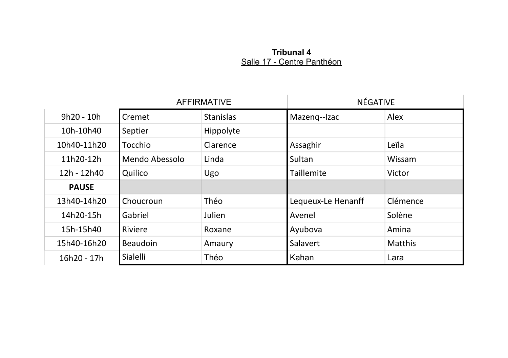#### **Tribunal 4** Salle 17 - Centre Panthéon

|              | <b>AFFIRMATIVE</b> |                  | NÉGATIVE           |          |
|--------------|--------------------|------------------|--------------------|----------|
| $9h20 - 10h$ | Cremet             | <b>Stanislas</b> | Mazeng--Izac       | Alex     |
| 10h-10h40    | Septier            | Hippolyte        |                    |          |
| 10h40-11h20  | Tocchio            | Clarence         | Assaghir           | Leïla    |
| 11h20-12h    | Mendo Abessolo     | Linda            | Sultan             | Wissam   |
| 12h - 12h40  | Quilico            | Ugo              | Taillemite         | Victor   |
| <b>PAUSE</b> |                    |                  |                    |          |
| 13h40-14h20  | Choucroun          | Théo             | Lequeux-Le Henanff | Clémence |
| 14h20-15h    | Gabriel            | Julien           | Avenel             | Solène   |
| 15h-15h40    | Riviere            | Roxane           | Ayubova            | Amina    |
| 15h40-16h20  | <b>Beaudoin</b>    | Amaury           | Salavert           | Matthis  |
| 16h20 - 17h  | Sialelli           | Théo             | Kahan              | Lara     |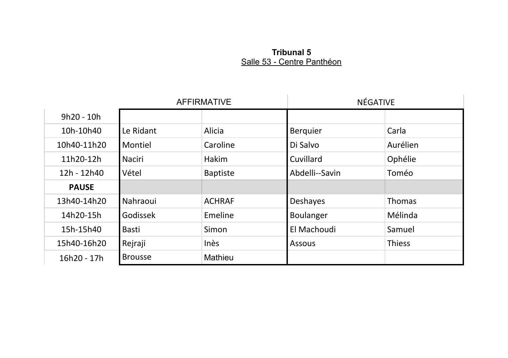## **Tribunal 5** Salle 53 - Centre Panthéon

|              | <b>AFFIRMATIVE</b> |                 | <b>NÉGATIVE</b> |          |
|--------------|--------------------|-----------------|-----------------|----------|
| $9h20 - 10h$ |                    |                 |                 |          |
| 10h-10h40    | Le Ridant          | Alicia          | Berquier        | Carla    |
| 10h40-11h20  | Montiel            | Caroline        | Di Salvo        | Aurélien |
| 11h20-12h    | Naciri             | Hakim           | Cuvillard       | Ophélie  |
| 12h - 12h40  | Vétel              | <b>Baptiste</b> | Abdelli--Savin  | Toméo    |
| <b>PAUSE</b> |                    |                 |                 |          |
| 13h40-14h20  | Nahraoui           | <b>ACHRAF</b>   | Deshayes        | Thomas   |
| 14h20-15h    | Godissek           | Emeline         | Boulanger       | Mélinda  |
| 15h-15h40    | Basti              | Simon           | El Machoudi     | Samuel   |
| 15h40-16h20  | Rejraji            | Inès            | Assous          | Thiess   |
| 16h20 - 17h  | <b>Brousse</b>     | Mathieu         |                 |          |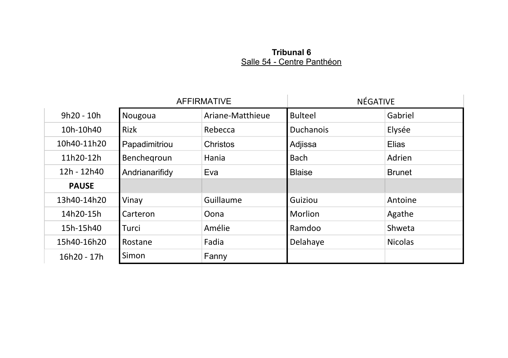#### **Tribunal 6** Salle 54 - Centre Panthéon

|              | <b>AFFIRMATIVE</b> |                  | NÉGATIVE         |                |
|--------------|--------------------|------------------|------------------|----------------|
| $9h20 - 10h$ | Nougoua            | Ariane-Matthieue | <b>Bulteel</b>   | Gabriel        |
| 10h-10h40    | Rizk               | Rebecca          | <b>Duchanois</b> | Elysée         |
| 10h40-11h20  | Papadimitriou      | Christos         | Adjissa          | Elias          |
| 11h20-12h    | Benchegroun        | Hania            | <b>Bach</b>      | Adrien         |
| 12h - 12h40  | Andrianarifidy     | Eva              | <b>Blaise</b>    | <b>Brunet</b>  |
| <b>PAUSE</b> |                    |                  |                  |                |
| 13h40-14h20  | Vinay              | Guillaume        | Guiziou          | Antoine        |
| 14h20-15h    | Carteron           | Oona             | <b>Morlion</b>   | Agathe         |
| 15h-15h40    | Turci              | Amélie           | Ramdoo           | Shweta         |
| 15h40-16h20  | Rostane            | Fadia            | Delahaye         | <b>Nicolas</b> |
| 16h20 - 17h  | Simon              | Fanny            |                  |                |